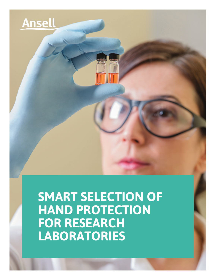

**SMART SELECTION OF HAND PROTECTION FOR RESEARCH LABORATORIES**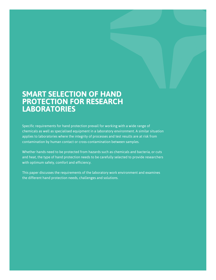# **SMART SELECTION OF HAND PROTECTION FOR RESEARCH LABORATORIES**

Specific requirements for hand protection prevail for working with a wide range of chemicals as well as specialised equipment in a laboratory environment. A similar situation applies to laboratories where the integrity of processes and test results are at risk from contamination by human contact or cross-contamination between samples.

Whether hands need to be protected from hazards such as chemicals and bacteria, or cuts and heat, the type of hand protection needs to be carefully selected to provide researchers with optimum safety, comfort and efficiency.

This paper discusses the requirements of the laboratory work environment and examines the different hand protection needs, challenges and solutions.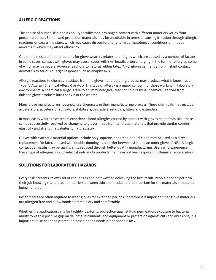## **ALLERGIC REACTIONS**

The nature of human skin and its ability to withstand prolonged contact with different materials varies from person to person. Some hand protection materials may be unsuitable in terms of causing irritation through allergic reactions or excess moisture, which may cause discomfort, long-term dermatological conditions or impede movement which may affect efficiency.

One of the most common problems for glove wearers relates to allergies which are caused by a number of factors. In some cases, contact with gloves may cause issues with skin health, often emerging in the form of allergies, some of which may be severe. Adverse reactions to natural rubber latex (NRL) gloves can range from irritant contact dermatitis to serious allergic response such as anaphylaxis.

Allergic reactions to chemical residues from the glove manufacturing process may produce what is known as a Type IV Allergy (Chemical Allergy) or ACD. This type of allergy is a major concern for those working in laboratory environments. A chemical allergy is due to an immunological reaction to a residual chemical leached from finished glove products into the skin of the wearer.

Many glove manufacturers routinely use chemicals in their manufacturing process. These chemicals may include accelerators, accelerator activators, stabilisers, degraders, retarders, fillers and extenders.

In most cases where researchers experience hand allergies caused by contact with gloves made from NRL, these can be successfully resolved by changing to gloves made from synthetic materials that provide similar comfort, elasticity and strength attributes to natural latex.

Gloves with synthetic material options include polyisoprene, neoprene or nitrile and may be used as a direct replacement for latex, or used with double donning as a barrier between skin and an outer glove of NRL. Allergic contact dermatitis may be significantly reduced through better quality manufacturing. Users who experience these type of allergies should select skin-friendly products that have not been exposed to chemical accelerators.

#### **SOLUTIONS FOR LABORATORY HAZARDS**

Every task presents its own set of challenges and pathways to achieving the best result. People need to perform their job knowing that protection barriers between skin and product are appropriate for the materials or hazards being handled.

Researchers are often required to wear gloves for extended periods, therefore it is important that glove materials are allergen free and allow hands to remain dry and comfortable.

Whether the application calls for tactility, dexterity, protection against fluid permeation, exposure to bacteria, ability to keep a positive grip on delicate instruments and equipment or protection against cuts and abrasions, it is important to select hand protection based on the needs of the specific task.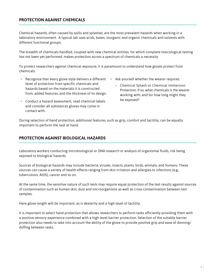### **PROTECTION AGAINST CHEMICALS**

Chemical hazards, often caused by spills and splashes, are the most prevalent hazards when working in a laboratory environment. A typical lab uses acids, bases, inorganic and organic chemicals and solvents with different functional groups.

The breadth of chemicals handled, coupled with new chemical entities, for which complete toxicological testing has not been yet performed, makes protection across a spectrum of chemicals a necessity.

To protect researchers against chemical exposure, it is paramount to understand how gloves protect from chemicals:

- Recognize that every glove style delivers a different level of protection from specific chemicals and hazards based on the materials it is constructed from, added features, and the thickness of its design.
- Conduct a hazard assessment, read chemical labels and consider all substances gloves may come in contact with.
- Ask yourself whether the wearer requires:
	- » Chemical Splash or Chemical Immersion Protection. If so, what chemicals is the wearer working with, and for how long might they be exposed?

During selection of hand protection, additional features, such as grip, comfort and tactility, can be equally important to perform the task at hand.

## **PROTECTION AGAINST BIOLOGICAL HAZARDS**

Laboratory workers conducting microbiological or DNA research or analysis of organismal fluids, risk being exposed to biological hazards.

Sources of biological hazards may include bacteria, viruses, insects, plants, birds, animals, and humans. These sources can cause a variety of health effects ranging from skin irritation and allergies to infections (e.g., tuberculosis, AIDS), cancer and so on.

At the same time, the sensitive nature of such tests may require equal protection of the test results against sources of contamination such as human skin, dust and microorganisms as well as cross-contamination between test samples.

Here glove length will be important, as is dexterity and a high level of tactility.

It is important to select hand protection that allows researchers to perform tasks efficiently providing them with a positive sensory experience combined with a high level barrier protection. Selection of the suitable barrier protection also needs to take into account the ability of the glove to provide positive grip and ease of donning/ doffing between tasks.